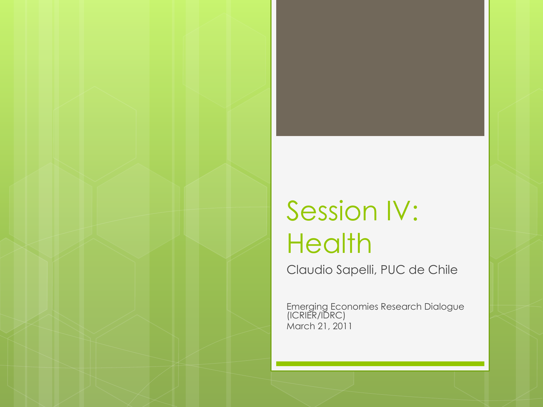#### Session IV: **Health**

Claudio Sapelli, PUC de Chile

Emerging Economies Research Dialogue (ICRIER/IDRC) March 21, 2011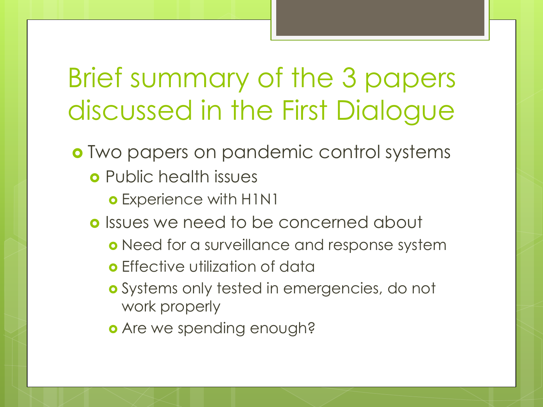#### Brief summary of the 3 papers discussed in the First Dialogue

- Two papers on pandemic control systems
	- **o** Public health issues
		- o Experience with H1N1
	- **o** Issues we need to be concerned about
		- **o** Need for a surveillance and response system
		- **o** Effective utilization of data
		- **o** Systems only tested in emergencies, do not work properly
		- **o** Are we spending enough?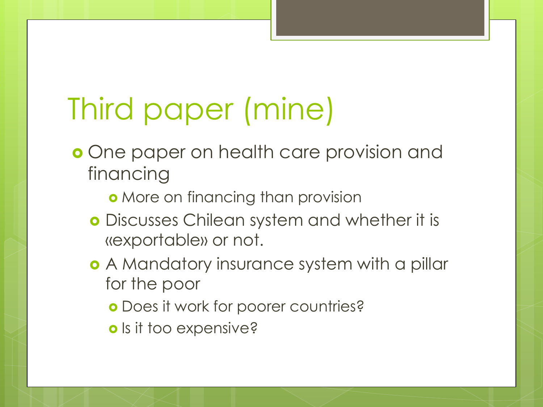# Third paper (mine)

- **o** One paper on health care provision and financing
	- **o** More on financing than provision
	- Discusses Chilean system and whether it is «exportable» or not.
	- A Mandatory insurance system with a pillar for the poor
		- **o** Does it work for poorer countries?
		- o Is it too expensive?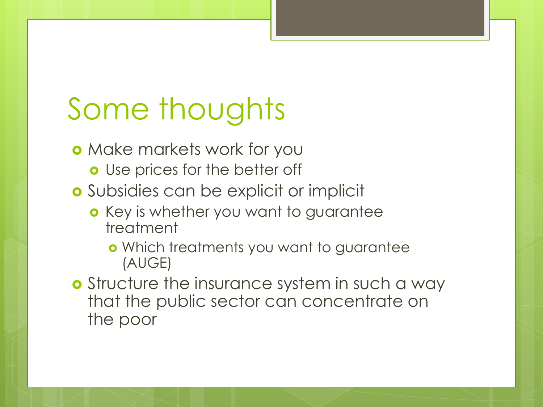## Some thoughts

- **o** Make markets work for you
	- **o** Use prices for the better off
- Subsidies can be explicit or implicit
	- **o** Key is whether you want to guarantee treatment
		- Which treatments you want to guarantee (AUGE)
- **o** Structure the insurance system in such a way that the public sector can concentrate on the poor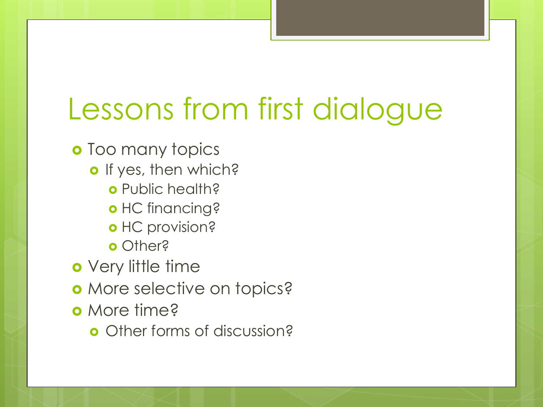## Lessons from first dialogue

**o** Too many topics

- o If yes, then which?
	- o Public health?
	- o HC financing?
	- o HC provision?
	- **o** Other?

o Very little time

- o More selective on topics?
- o More time?
	- **o** Other forms of discussion?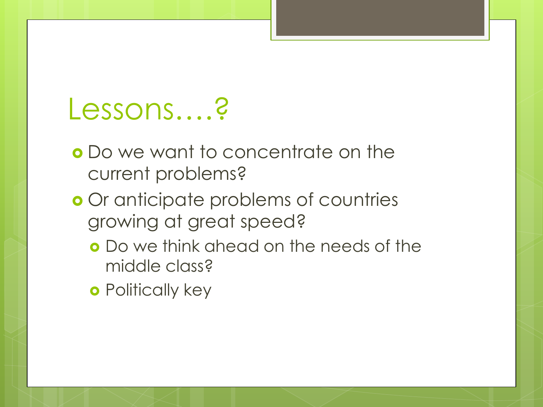#### Lessons….?

- Do we want to concentrate on the current problems?
- o Or anticipate problems of countries growing at great speed?
	- Do we think ahead on the needs of the middle class?
	- **o** Politically key